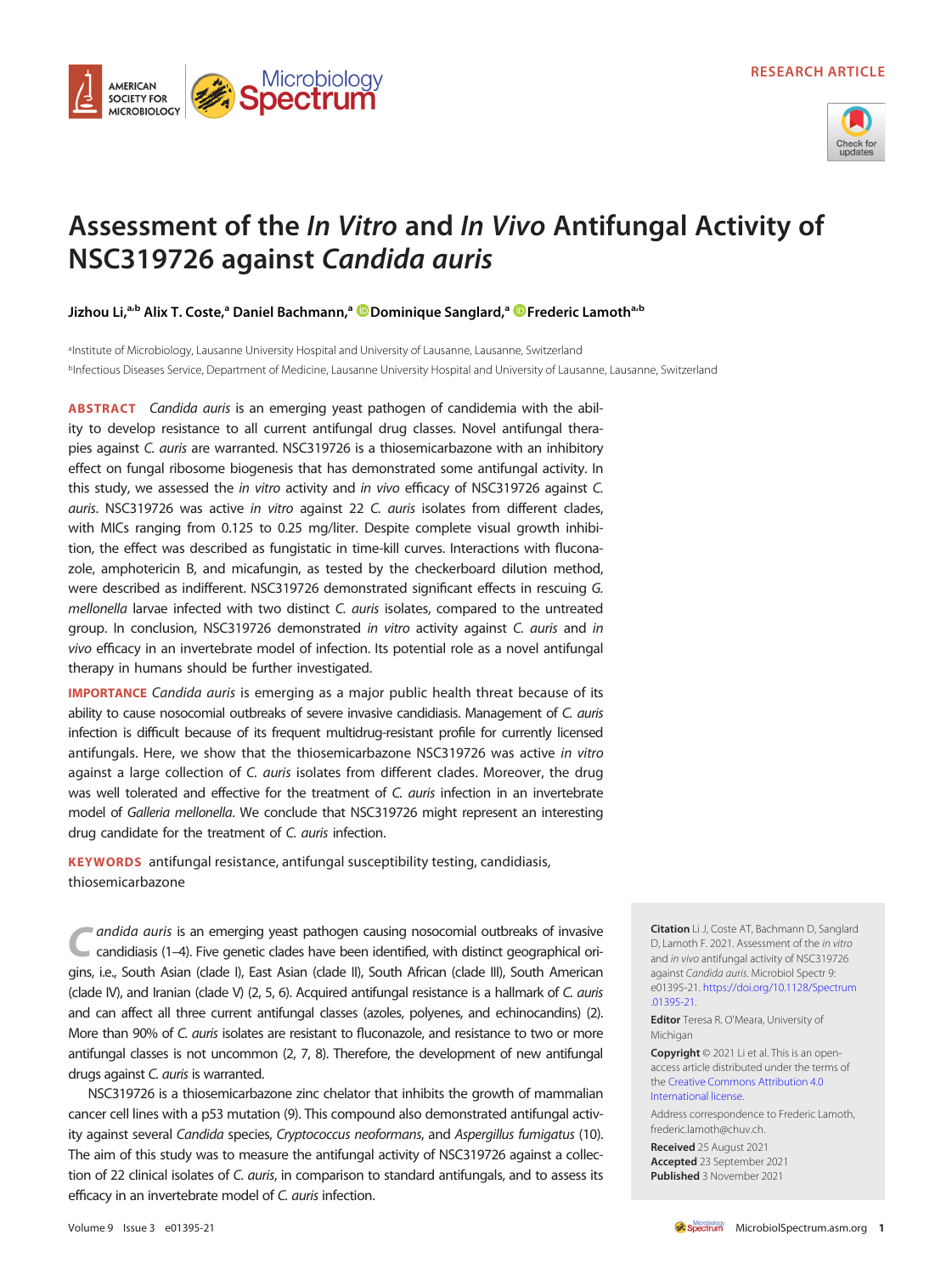

# Assessment of the In Vitro and In Vivo Antifungal Activity of NSC319726 against Candida auris

Jizhou Li,<sup>a,b</sup> Alix T. Coste,<sup>a</sup> Daniel Bachmann,<sup>a **D** [Dominique Sanglard](https://orcid.org/0000-0002-5244-4178),<sup>a</sup> D [Frederic Lamoth](https://orcid.org/0000-0002-1023-5597)<sup>a,b</sup></sup>

Microbiology<br>**Spectrum** 

**AMERICAN SOCIETY FOR MICROBIOLOGY** 

aInstitute of Microbiology, Lausanne University Hospital and University of Lausanne, Lausanne, Switzerland bInfectious Diseases Service, Department of Medicine, Lausanne University Hospital and University of Lausanne, Lausanne, Switzerland

ABSTRACT Candida auris is an emerging yeast pathogen of candidemia with the ability to develop resistance to all current antifungal drug classes. Novel antifungal therapies against C. auris are warranted. NSC319726 is a thiosemicarbazone with an inhibitory effect on fungal ribosome biogenesis that has demonstrated some antifungal activity. In this study, we assessed the in vitro activity and in vivo efficacy of NSC319726 against C. auris. NSC319726 was active in vitro against 22 C. auris isolates from different clades, with MICs ranging from 0.125 to 0.25 mg/liter. Despite complete visual growth inhibition, the effect was described as fungistatic in time-kill curves. Interactions with fluconazole, amphotericin B, and micafungin, as tested by the checkerboard dilution method, were described as indifferent. NSC319726 demonstrated significant effects in rescuing G. mellonella larvae infected with two distinct C. auris isolates, compared to the untreated group. In conclusion, NSC319726 demonstrated in vitro activity against C. auris and in vivo efficacy in an invertebrate model of infection. Its potential role as a novel antifungal therapy in humans should be further investigated.

**IMPORTANCE** Candida auris is emerging as a major public health threat because of its ability to cause nosocomial outbreaks of severe invasive candidiasis. Management of C. auris infection is difficult because of its frequent multidrug-resistant profile for currently licensed antifungals. Here, we show that the thiosemicarbazone NSC319726 was active in vitro against a large collection of C. auris isolates from different clades. Moreover, the drug was well tolerated and effective for the treatment of C. auris infection in an invertebrate model of Galleria mellonella. We conclude that NSC319726 might represent an interesting drug candidate for the treatment of C. auris infection.

KEYWORDS antifungal resistance, antifungal susceptibility testing, candidiasis, thiosemicarbazone

andida auris is an emerging yeast pathogen causing nosocomial outbreaks of invasive candidiasis [\(1](#page-4-0)–[4](#page-4-1)). Five genetic clades have been identified, with distinct geographical origins, i.e., South Asian (clade I), East Asian (clade II), South African (clade III), South American (clade IV), and Iranian (clade V) ([2,](#page-4-2) [5](#page-4-3), [6\)](#page-4-4). Acquired antifungal resistance is a hallmark of C. auris and can affect all three current antifungal classes (azoles, polyenes, and echinocandins) [\(2\)](#page-4-2). More than 90% of C. auris isolates are resistant to fluconazole, and resistance to two or more antifungal classes is not uncommon [\(2](#page-4-2), [7](#page-4-5), [8](#page-4-6)). Therefore, the development of new antifungal drugs against C. auris is warranted.

NSC319726 is a thiosemicarbazone zinc chelator that inhibits the growth of mammalian cancer cell lines with a p53 mutation ([9](#page-4-7)). This compound also demonstrated antifungal activity against several Candida species, Cryptococcus neoformans, and Aspergillus fumigatus [\(10\)](#page-4-8). The aim of this study was to measure the antifungal activity of NSC319726 against a collection of 22 clinical isolates of C. auris, in comparison to standard antifungals, and to assess its efficacy in an invertebrate model of C. auris infection.

Citation Li J, Coste AT, Bachmann D, Sanglard D, Lamoth F. 2021. Assessment of the in vitro and in vivo antifungal activity of NSC319726 against Candida auris. Microbiol Spectr 9: e01395-21. [https://doi.org/10.1128/Spectrum](https://doi.org/10.1128/Spectrum.01395-21) [.01395-21](https://doi.org/10.1128/Spectrum.01395-21).

Editor Teresa R. O'Meara, University of Michigan

Copyright © 2021 Li et al. This is an openaccess article distributed under the terms of the [Creative Commons Attribution 4.0](https://creativecommons.org/licenses/by/4.0/) [International license](https://creativecommons.org/licenses/by/4.0/).

Address correspondence to Frederic Lamoth, frederic.lamoth@chuv.ch.

Received 25 August 2021 Accepted 23 September 2021 Published 3 November 2021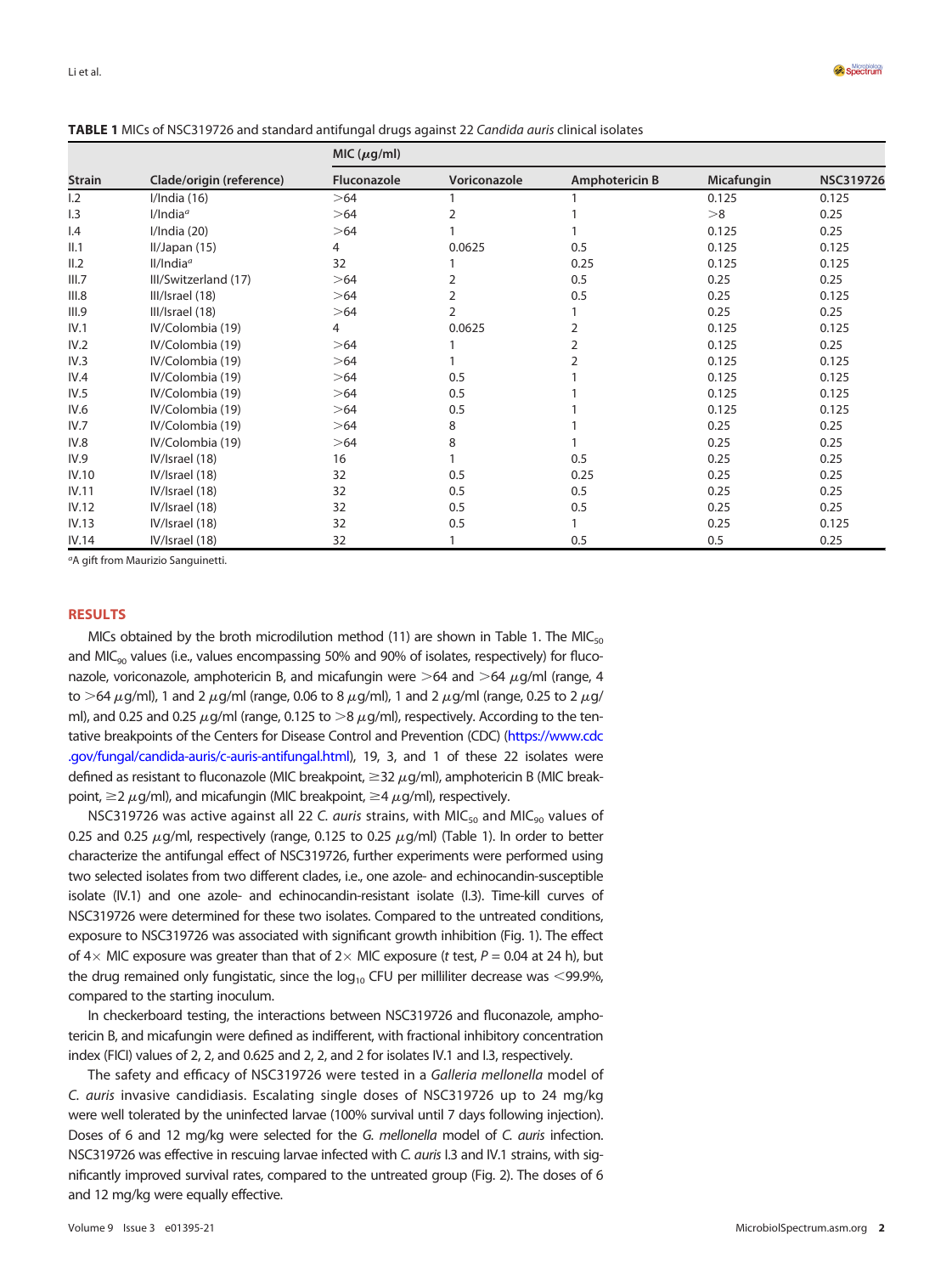| <b>Strain</b>           | Clade/origin (reference) | MIC $(\mu g/ml)$   |                |                       |            |                  |
|-------------------------|--------------------------|--------------------|----------------|-----------------------|------------|------------------|
|                         |                          | <b>Fluconazole</b> | Voriconazole   | <b>Amphotericin B</b> | Micafungin | <b>NSC319726</b> |
| 1.2                     | I/India(16)              | >64                |                |                       | 0.125      | 0.125            |
| 1.3                     | $I/India^a$              | >64                |                |                       | >8         | 0.25             |
| $\mathsf{I}.\mathsf{4}$ | I/India(20)              | >64                |                |                       | 0.125      | 0.25             |
| II.1                    | II/Japan(15)             | 4                  | 0.0625         | 0.5                   | 0.125      | 0.125            |
| II.2                    | $II/India^a$             | 32                 |                | 0.25                  | 0.125      | 0.125            |
| III.7                   | III/Switzerland (17)     | >64                | 2              | 0.5                   | 0.25       | 0.25             |
| III.8                   | III/Israel (18)          | >64                | $\overline{2}$ | 0.5                   | 0.25       | 0.125            |
| III.9                   | III/Israel (18)          | >64                | 2              |                       | 0.25       | 0.25             |
| IV.1                    | IV/Colombia (19)         | 4                  | 0.0625         | $\overline{2}$        | 0.125      | 0.125            |
| IV.2                    | IV/Colombia (19)         | >64                |                | 2                     | 0.125      | 0.25             |
| IV.3                    | IV/Colombia (19)         | >64                |                | フ                     | 0.125      | 0.125            |
| IV.4                    | IV/Colombia (19)         | >64                | 0.5            |                       | 0.125      | 0.125            |
| IV.5                    | IV/Colombia (19)         | >64                | 0.5            |                       | 0.125      | 0.125            |
| IV.6                    | IV/Colombia (19)         | >64                | 0.5            |                       | 0.125      | 0.125            |
| IV.7                    | IV/Colombia (19)         | >64                | 8              |                       | 0.25       | 0.25             |
| IV.8                    | IV/Colombia (19)         | >64                | 8              |                       | 0.25       | 0.25             |
| IV.9                    | IV/Israel (18)           | 16                 |                | 0.5                   | 0.25       | 0.25             |
| IV.10                   | IV/Israel (18)           | 32                 | 0.5            | 0.25                  | 0.25       | 0.25             |
| IV.11                   | IV/Israel (18)           | 32                 | 0.5            | 0.5                   | 0.25       | 0.25             |
| IV.12                   | IV/Israel (18)           | 32                 | 0.5            | 0.5                   | 0.25       | 0.25             |
| IV.13                   | IV/Israel (18)           | 32                 | 0.5            |                       | 0.25       | 0.125            |
| IV.14                   | IV/Israel (18)           | 32                 |                | 0.5                   | 0.5        | 0.25             |

<span id="page-1-0"></span>TABLE 1 MICs of NSC319726 and standard antifungal drugs against 22 Candida auris clinical isolates

<sup>a</sup>A gift from Maurizio Sanguinetti.

### RESULTS

MICs obtained by the broth microdilution method [\(11\)](#page-4-9) are shown in [Table 1.](#page-1-0) The MIC<sub>50</sub> and  $MIC<sub>90</sub>$  values (i.e., values encompassing 50% and 90% of isolates, respectively) for fluconazole, voriconazole, amphotericin B, and micafungin were  $>64$  and  $>64 \mu$ g/ml (range, 4 to >64  $\mu$ q/ml), 1 and 2  $\mu$ q/ml (range, 0.06 to 8  $\mu$ q/ml), 1 and 2  $\mu$ g/ml (range, 0.25 to 2  $\mu$ g/ ml), and 0.25 and 0.25  $\mu$ g/ml (range, 0.125 to  $>8 \mu$ g/ml), respectively. According to the tentative breakpoints of the Centers for Disease Control and Prevention (CDC) [\(https://www.cdc](https://www.cdc.gov/fungal/candida-auris/c-auris-antifungal.html) [.gov/fungal/candida-auris/c-auris-antifungal.html\)](https://www.cdc.gov/fungal/candida-auris/c-auris-antifungal.html), 19, 3, and 1 of these 22 isolates were defined as resistant to fluconazole (MIC breakpoint,  $\geq$  32  $\mu$ g/ml), amphotericin B (MIC breakpoint,  $\geq$  2  $\mu$ g/ml), and micafungin (MIC breakpoint,  $\geq$  4  $\mu$ g/ml), respectively.

NSC319726 was active against all 22 C. auris strains, with MIC<sub>50</sub> and MIC<sub>90</sub> values of 0.25 and 0.25  $\mu$ g/ml, respectively (range, 0.125 to 0.25  $\mu$ g/ml) [\(Table 1](#page-1-0)). In order to better characterize the antifungal effect of NSC319726, further experiments were performed using two selected isolates from two different clades, i.e., one azole- and echinocandin-susceptible isolate (IV.1) and one azole- and echinocandin-resistant isolate (I.3). Time-kill curves of NSC319726 were determined for these two isolates. Compared to the untreated conditions, exposure to NSC319726 was associated with significant growth inhibition [\(Fig. 1\)](#page-2-0). The effect of  $4 \times$  MIC exposure was greater than that of  $2 \times$  MIC exposure (t test,  $P = 0.04$  at 24 h), but the drug remained only fungistatic, since the  $log_{10}$  CFU per milliliter decrease was <99.9%, compared to the starting inoculum.

In checkerboard testing, the interactions between NSC319726 and fluconazole, amphotericin B, and micafungin were defined as indifferent, with fractional inhibitory concentration index (FICI) values of 2, 2, and 0.625 and 2, 2, and 2 for isolates IV.1 and I.3, respectively.

The safety and efficacy of NSC319726 were tested in a Galleria mellonella model of C. auris invasive candidiasis. Escalating single doses of NSC319726 up to 24 mg/kg were well tolerated by the uninfected larvae (100% survival until 7 days following injection). Doses of 6 and 12 mg/kg were selected for the G. mellonella model of C. auris infection. NSC319726 was effective in rescuing larvae infected with C. auris I.3 and IV.1 strains, with significantly improved survival rates, compared to the untreated group [\(Fig. 2](#page-2-1)). The doses of 6 and 12 mg/kg were equally effective.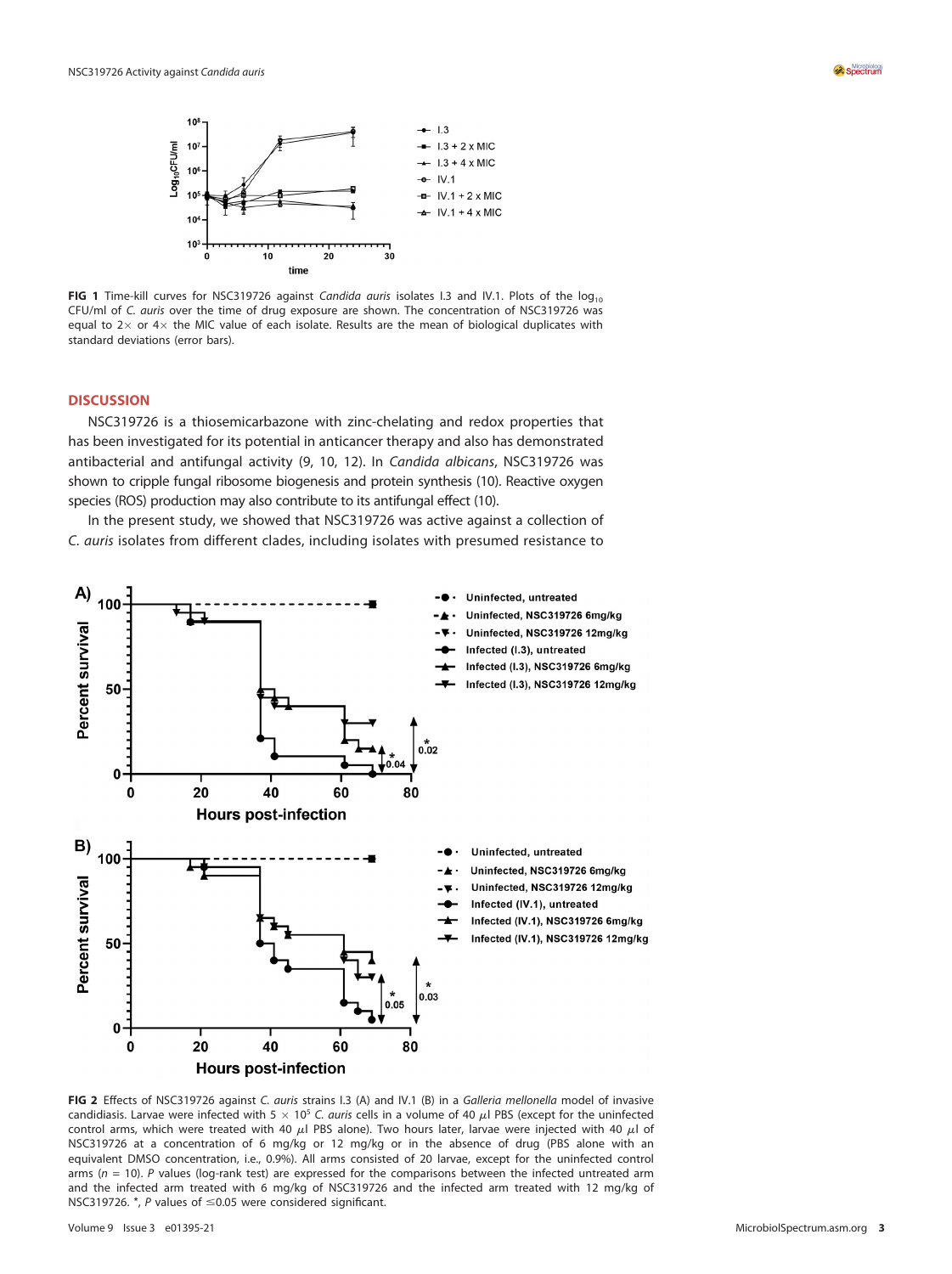

<span id="page-2-0"></span>FIG 1 Time-kill curves for NSC319726 against Candida auris isolates I.3 and IV.1. Plots of the log<sub>10</sub> CFU/ml of C. auris over the time of drug exposure are shown. The concentration of NSC319726 was equal to  $2 \times$  or  $4 \times$  the MIC value of each isolate. Results are the mean of biological duplicates with standard deviations (error bars).

# **DISCUSSION**

NSC319726 is a thiosemicarbazone with zinc-chelating and redox properties that has been investigated for its potential in anticancer therapy and also has demonstrated antibacterial and antifungal activity [\(9,](#page-4-7) [10,](#page-4-8) [12](#page-4-16)). In Candida albicans, NSC319726 was shown to cripple fungal ribosome biogenesis and protein synthesis [\(10](#page-4-8)). Reactive oxygen species (ROS) production may also contribute to its antifungal effect ([10\)](#page-4-8).

In the present study, we showed that NSC319726 was active against a collection of C. auris isolates from different clades, including isolates with presumed resistance to



<span id="page-2-1"></span>FIG 2 Effects of NSC319726 against C. auris strains I.3 (A) and IV.1 (B) in a Galleria mellonella model of invasive candidiasis. Larvae were infected with 5  $\times$  10<sup>5</sup> C. *auris* cells in a volume of 40  $\mu$ l PBS (except for the uninfected control arms, which were treated with 40  $\mu$ l PBS alone). Two hours later, larvae were injected with 40  $\mu$ l of NSC319726 at a concentration of 6 mg/kg or 12 mg/kg or in the absence of drug (PBS alone with an equivalent DMSO concentration, i.e., 0.9%). All arms consisted of 20 larvae, except for the uninfected control arms ( $n = 10$ ). P values (log-rank test) are expressed for the comparisons between the infected untreated arm and the infected arm treated with 6 mg/kg of NSC319726 and the infected arm treated with 12 mg/kg of NSC319726.  $^*$ , P values of  $\leq$ 0.05 were considered significant.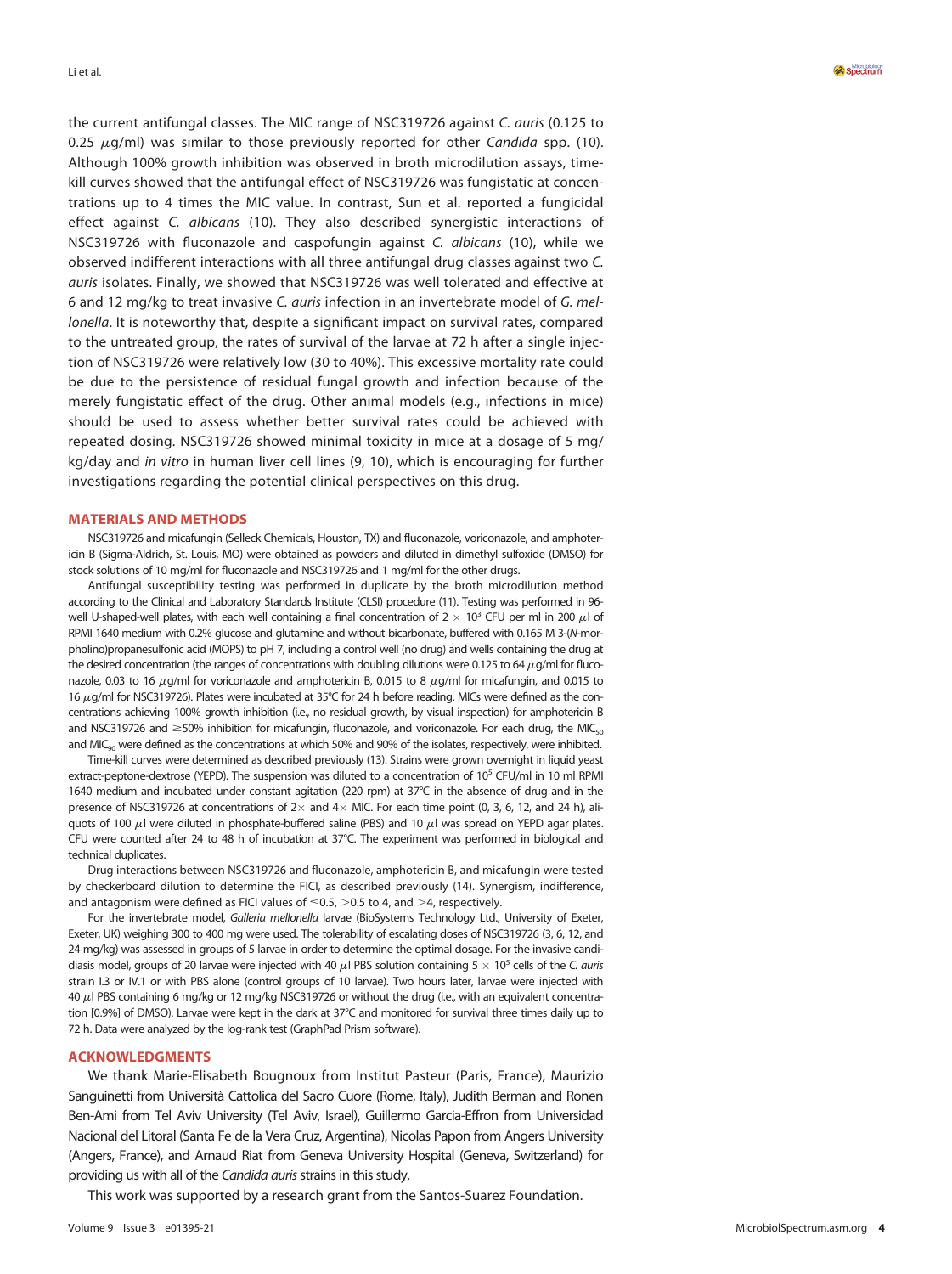the current antifungal classes. The MIC range of NSC319726 against C. auris (0.125 to 0.25  $\mu$ g/ml) was similar to those previously reported for other Candida spp. ([10](#page-4-8)). Although 100% growth inhibition was observed in broth microdilution assays, timekill curves showed that the antifungal effect of NSC319726 was fungistatic at concentrations up to 4 times the MIC value. In contrast, Sun et al. reported a fungicidal effect against C. albicans ([10](#page-4-8)). They also described synergistic interactions of NSC319726 with fluconazole and caspofungin against C. albicans ([10](#page-4-8)), while we observed indifferent interactions with all three antifungal drug classes against two C. auris isolates. Finally, we showed that NSC319726 was well tolerated and effective at 6 and 12 mg/kg to treat invasive C. auris infection in an invertebrate model of G. mellonella. It is noteworthy that, despite a significant impact on survival rates, compared to the untreated group, the rates of survival of the larvae at 72 h after a single injection of NSC319726 were relatively low (30 to 40%). This excessive mortality rate could be due to the persistence of residual fungal growth and infection because of the merely fungistatic effect of the drug. Other animal models (e.g., infections in mice) should be used to assess whether better survival rates could be achieved with repeated dosing. NSC319726 showed minimal toxicity in mice at a dosage of 5 mg/ kg/day and in vitro in human liver cell lines ([9](#page-4-7), [10\)](#page-4-8), which is encouraging for further investigations regarding the potential clinical perspectives on this drug.

#### MATERIALS AND METHODS

NSC319726 and micafungin (Selleck Chemicals, Houston, TX) and fluconazole, voriconazole, and amphotericin B (Sigma-Aldrich, St. Louis, MO) were obtained as powders and diluted in dimethyl sulfoxide (DMSO) for stock solutions of 10 mg/ml for fluconazole and NSC319726 and 1 mg/ml for the other drugs.

Antifungal susceptibility testing was performed in duplicate by the broth microdilution method according to the Clinical and Laboratory Standards Institute (CLSI) procedure ([11\)](#page-4-9). Testing was performed in 96 well U-shaped-well plates, with each well containing a final concentration of  $2 \times 10^3$  CFU per ml in 200  $\mu$ l of RPMI 1640 medium with 0.2% glucose and glutamine and without bicarbonate, buffered with 0.165 M 3-(N-morpholino)propanesulfonic acid (MOPS) to pH 7, including a control well (no drug) and wells containing the drug at the desired concentration (the ranges of concentrations with doubling dilutions were 0.125 to 64  $\mu$ g/ml for fluconazole, 0.03 to 16  $\mu$ q/ml for voriconazole and amphotericin B, 0.015 to 8  $\mu$ q/ml for micafungin, and 0.015 to 16  $\mu$ g/ml for NSC319726). Plates were incubated at 35°C for 24 h before reading. MICs were defined as the concentrations achieving 100% growth inhibition (i.e., no residual growth, by visual inspection) for amphotericin B and NSC319726 and  $\geq$ 50% inhibition for micafungin, fluconazole, and voriconazole. For each drug, the MIC<sub>50</sub> and MIC $_{\text{on}}$  were defined as the concentrations at which 50% and 90% of the isolates, respectively, were inhibited.

Time-kill curves were determined as described previously [\(13\)](#page-4-17). Strains were grown overnight in liquid yeast extract-peptone-dextrose (YEPD). The suspension was diluted to a concentration of 10<sup>5</sup> CFU/ml in 10 ml RPMI 1640 medium and incubated under constant agitation (220 rpm) at 37°C in the absence of drug and in the presence of NSC319726 at concentrations of  $2 \times$  and  $4 \times$  MIC. For each time point (0, 3, 6, 12, and 24 h), aliquots of 100  $\mu$ l were diluted in phosphate-buffered saline (PBS) and 10  $\mu$ l was spread on YEPD agar plates. CFU were counted after 24 to 48 h of incubation at 37°C. The experiment was performed in biological and technical duplicates.

Drug interactions between NSC319726 and fluconazole, amphotericin B, and micafungin were tested by checkerboard dilution to determine the FICI, as described previously [\(14](#page-4-18)). Synergism, indifference, and antagonism were defined as FICI values of  $\leq 0.5$ ,  $> 0.5$  to 4, and  $> 4$ , respectively.

For the invertebrate model, Galleria mellonella larvae (BioSystems Technology Ltd., University of Exeter, Exeter, UK) weighing 300 to 400 mg were used. The tolerability of escalating doses of NSC319726 (3, 6, 12, and 24 mg/kg) was assessed in groups of 5 larvae in order to determine the optimal dosage. For the invasive candidiasis model, groups of 20 larvae were injected with 40  $\mu$ l PBS solution containing 5  $\times$  10<sup>5</sup> cells of the C. auris strain I.3 or IV.1 or with PBS alone (control groups of 10 larvae). Two hours later, larvae were injected with 40  $\mu$ l PBS containing 6 mg/kg or 12 mg/kg NSC319726 or without the drug (i.e., with an equivalent concentration [0.9%] of DMSO). Larvae were kept in the dark at 37°C and monitored for survival three times daily up to 72 h. Data were analyzed by the log-rank test (GraphPad Prism software).

# ACKNOWLEDGMENTS

We thank Marie-Elisabeth Bougnoux from Institut Pasteur (Paris, France), Maurizio Sanguinetti from Università Cattolica del Sacro Cuore (Rome, Italy), Judith Berman and Ronen Ben-Ami from Tel Aviv University (Tel Aviv, Israel), Guillermo Garcia-Effron from Universidad Nacional del Litoral (Santa Fe de la Vera Cruz, Argentina), Nicolas Papon from Angers University (Angers, France), and Arnaud Riat from Geneva University Hospital (Geneva, Switzerland) for providing us with all of the Candida auris strains in this study.

This work was supported by a research grant from the Santos-Suarez Foundation.